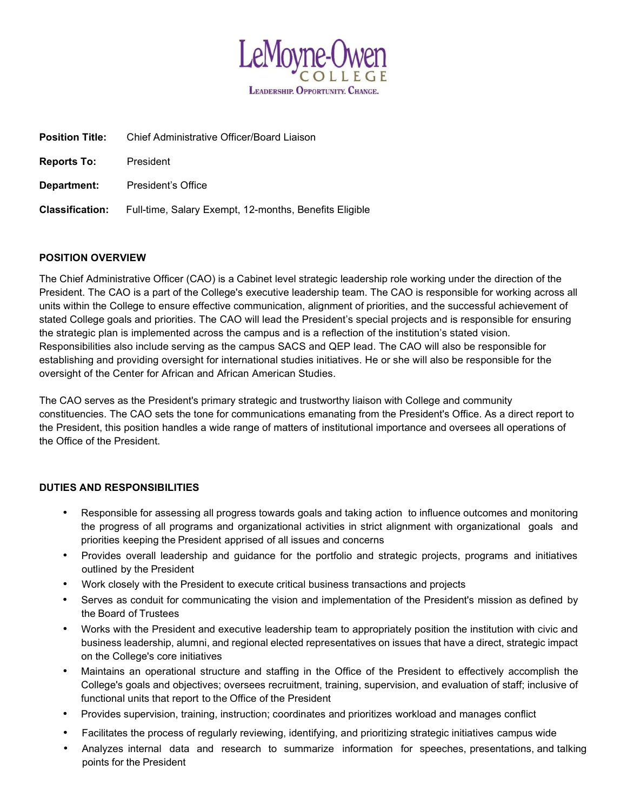

| <b>Position Title:</b> | Chief Administrative Officer/Board Liaison             |
|------------------------|--------------------------------------------------------|
| <b>Reports To:</b>     | President                                              |
| Department:            | President's Office                                     |
| <b>Classification:</b> | Full-time, Salary Exempt, 12-months, Benefits Eligible |

### POSITION OVERVIEW

The Chief Administrative Officer (CAO) is a Cabinet level strategic leadership role working under the direction of the President. The CAO is a part of the College's executive leadership team. The CAO is responsible for working across all units within the College to ensure effective communication, alignment of priorities, and the successful achievement of stated College goals and priorities. The CAO will lead the President's special projects and is responsible for ensuring the strategic plan is implemented across the campus and is a reflection of the institution's stated vision. Responsibilities also include serving as the campus SACS and QEP lead. The CAO will also be responsible for establishing and providing oversight for international studies initiatives. He or she will also be responsible for the oversight of the Center for African and African American Studies.

The CAO serves as the President's primary strategic and trustworthy liaison with College and community constituencies. The CAO sets the tone for communications emanating from the President's Office. As a direct report to the President, this position handles a wide range of matters of institutional importance and oversees all operations of the Office of the President.

### DUTIES AND RESPONSIBILITIES

- Responsible for assessing all progress towards goals and taking action to influence outcomes and monitoring the progress of all programs and organizational activities in strict alignment with organizational goals and priorities keeping the President apprised of all issues and concerns
- Provides overall leadership and guidance for the portfolio and strategic projects, programs and initiatives outlined by the President
- Work closely with the President to execute critical business transactions and projects
- Serves as conduit for communicating the vision and implementation of the President's mission as defined by the Board of Trustees
- Works with the President and executive leadership team to appropriately position the institution with civic and business leadership, alumni, and regional elected representatives on issues that have a direct, strategic impact on the College's core initiatives
- Maintains an operational structure and staffing in the Office of the President to effectively accomplish the College's goals and objectives; oversees recruitment, training, supervision, and evaluation of staff; inclusive of functional units that report to the Office of the President
- Provides supervision, training, instruction; coordinates and prioritizes workload and manages conflict
- Facilitates the process of regularly reviewing, identifying, and prioritizing strategic initiatives campus wide
- Analyzes internal data and research to summarize information for speeches, presentations, and talking points for the President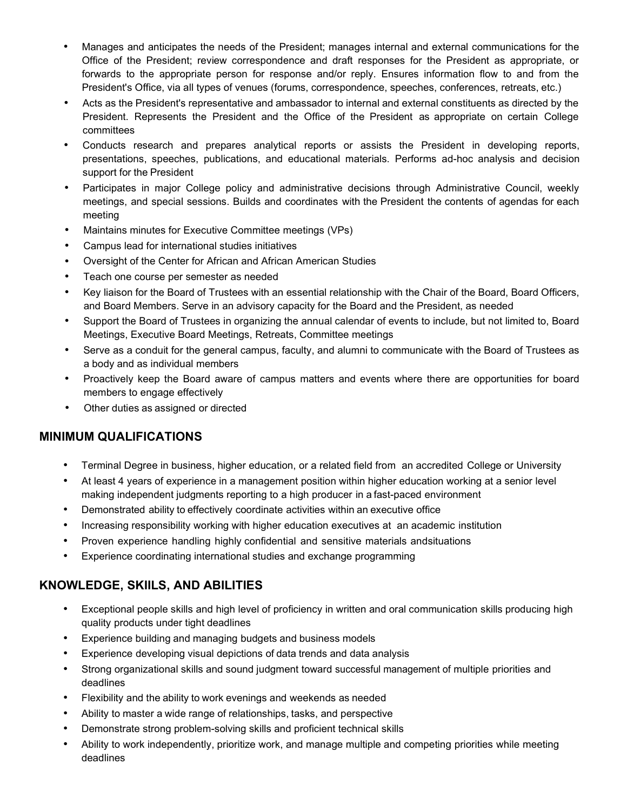- Manages and anticipates the needs of the President; manages internal and external communications for the Office of the President; review correspondence and draft responses for the President as appropriate, or forwards to the appropriate person for response and/or reply. Ensures information flow to and from the President's Office, via all types of venues (forums, correspondence, speeches, conferences, retreats, etc.)
- Acts as the President's representative and ambassador to internal and external constituents as directed by the President. Represents the President and the Office of the President as appropriate on certain College committees
- Conducts research and prepares analytical reports or assists the President in developing reports, presentations, speeches, publications, and educational materials. Performs ad-hoc analysis and decision support for the President
- Participates in major College policy and administrative decisions through Administrative Council, weekly meetings, and special sessions. Builds and coordinates with the President the contents of agendas for each meeting
- Maintains minutes for Executive Committee meetings (VPs)
- Campus lead for international studies initiatives
- Oversight of the Center for African and African American Studies
- Teach one course per semester as needed
- Key liaison for the Board of Trustees with an essential relationship with the Chair of the Board, Board Officers, and Board Members. Serve in an advisory capacity for the Board and the President, as needed
- Support the Board of Trustees in organizing the annual calendar of events to include, but not limited to, Board Meetings, Executive Board Meetings, Retreats, Committee meetings
- Serve as a conduit for the general campus, faculty, and alumni to communicate with the Board of Trustees as a body and as individual members
- Proactively keep the Board aware of campus matters and events where there are opportunities for board members to engage effectively
- Other duties as assigned or directed

## MINIMUM QUALIFICATIONS

- Terminal Degree in business, higher education, or a related field from an accredited College or University
- At least 4 years of experience in a management position within higher education working at a senior level making independent judgments reporting to a high producer in a fast-paced environment
- Demonstrated ability to effectively coordinate activities within an executive office
- Increasing responsibility working with higher education executives at an academic institution
- Proven experience handling highly confidential and sensitive materials and situations
- Experience coordinating international studies and exchange programming

# KNOWLEDGE, SKIILS, AND ABILITIES

- Exceptional people skills and high level of proficiency in written and oral communication skills producing high quality products under tight deadlines
- Experience building and managing budgets and business models
- Experience developing visual depictions of data trends and data analysis
- Strong organizational skills and sound judgment toward successful management of multiple priorities and deadlines
- Flexibility and the ability to work evenings and weekends as needed
- Ability to master a wide range of relationships, tasks, and perspective
- Demonstrate strong problem-solving skills and proficient technical skills
- Ability to work independently, prioritize work, and manage multiple and competing priorities while meeting deadlines